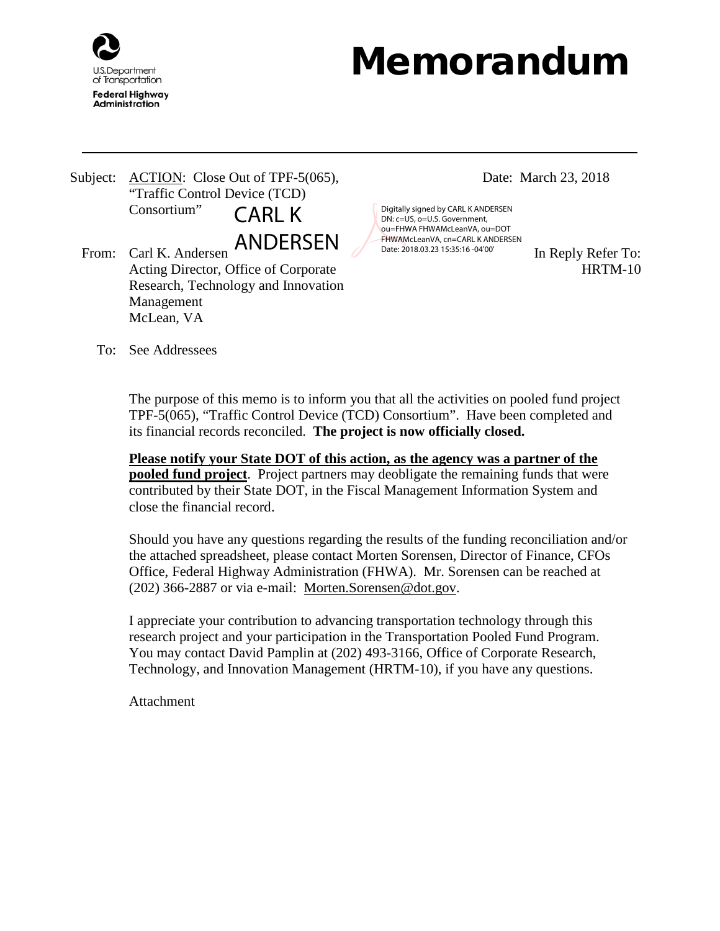

## Memorandum

Subject: ACTION: Close Out of TPF-5(065), "Traffic Control Device (TCD) Consortium" CARL K

ANDERSEN

From: Carl K. Andersen  $\overline{P}$   $\overline{P}$   $\overline{P}$   $\overline{P}$  Date: 2018.03.23 15:35:16 -04'00' In Reply Refer To: Acting Director, Office of Corporate Research, Technology and Innovation Management McLean, VA

Date: March 23, 2018

Digitally signed by CARL K ANDERSEN DN: c=US, o=U.S. Government, ou=FHWA FHWAMcLeanVA, ou=DOT FHWAMcLeanVA, cn=CARL K ANDERSEN Date: 2018.03.23 15:35:16 -04'00'

HRTM-10

To: See Addressees

The purpose of this memo is to inform you that all the activities on pooled fund project TPF-5(065), "Traffic Control Device (TCD) Consortium". Have been completed and its financial records reconciled. **The project is now officially closed.**

**Please notify your State DOT of this action, as the agency was a partner of the pooled fund project**. Project partners may deobligate the remaining funds that were contributed by their State DOT, in the Fiscal Management Information System and close the financial record.

Should you have any questions regarding the results of the funding reconciliation and/or the attached spreadsheet, please contact Morten Sorensen, Director of Finance, CFOs Office, Federal Highway Administration (FHWA). Mr. Sorensen can be reached at (202) 366-2887 or via e-mail: Morten.Sorensen@dot.gov.

I appreciate your contribution to advancing transportation technology through this research project and your participation in the Transportation Pooled Fund Program. You may contact David Pamplin at (202) 493-3166, Office of Corporate Research, Technology, and Innovation Management (HRTM-10), if you have any questions.

**Attachment**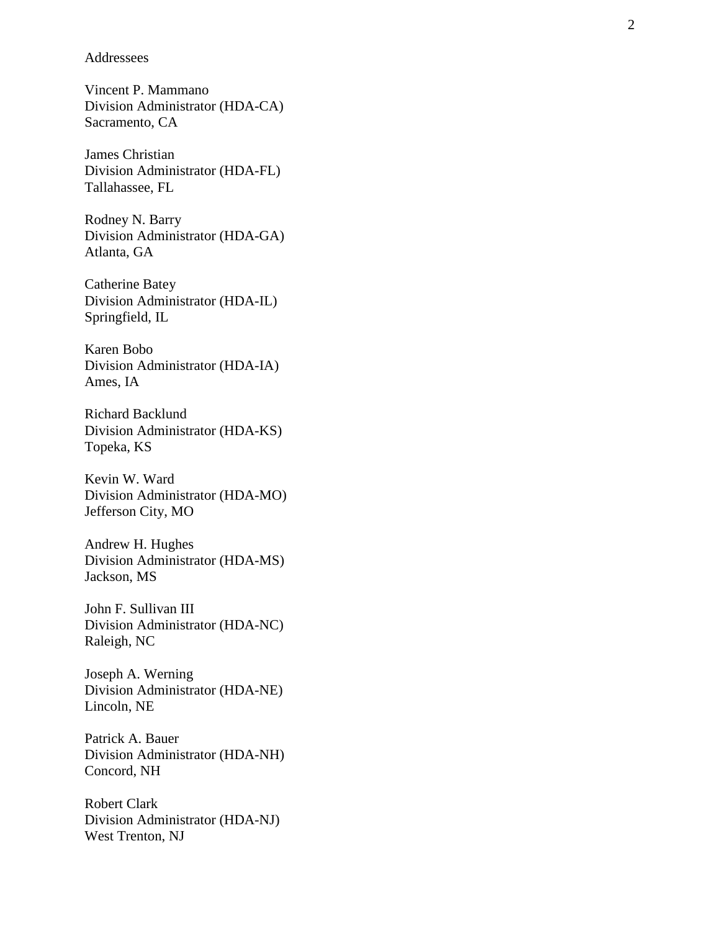Addressees

Vincent P. Mammano Division Administrator (HDA -CA) Sacramento, CA

James Christian Division Administrator (HDA -FL) Tallahassee, FL

Rodney N. Barry Division Administrator (HDA -GA) Atlanta, GA

Catherine Batey Division Administrator (HDA -IL) Springfield, IL

Karen Bobo Division Administrator (HDA -IA) Ames, IA

Richard Backlund Division Administrator (HDA -KS) Topeka, KS

Kevin W. Ward Division Administrator (HDA -MO) Jefferson City, MO

Andrew H. Hughes Division Administrator (HDA -MS) Jackson, MS

John F. Sullivan III Division Administrator (HDA -NC) Raleigh, NC

Joseph A. Werning Division Administrator (HDA -NE) Lincoln, NE

Patrick A. Bauer Division Administrator (HDA -NH) Concord, NH

Robert Clark Division Administrator (HDA -NJ) West Trenton, NJ